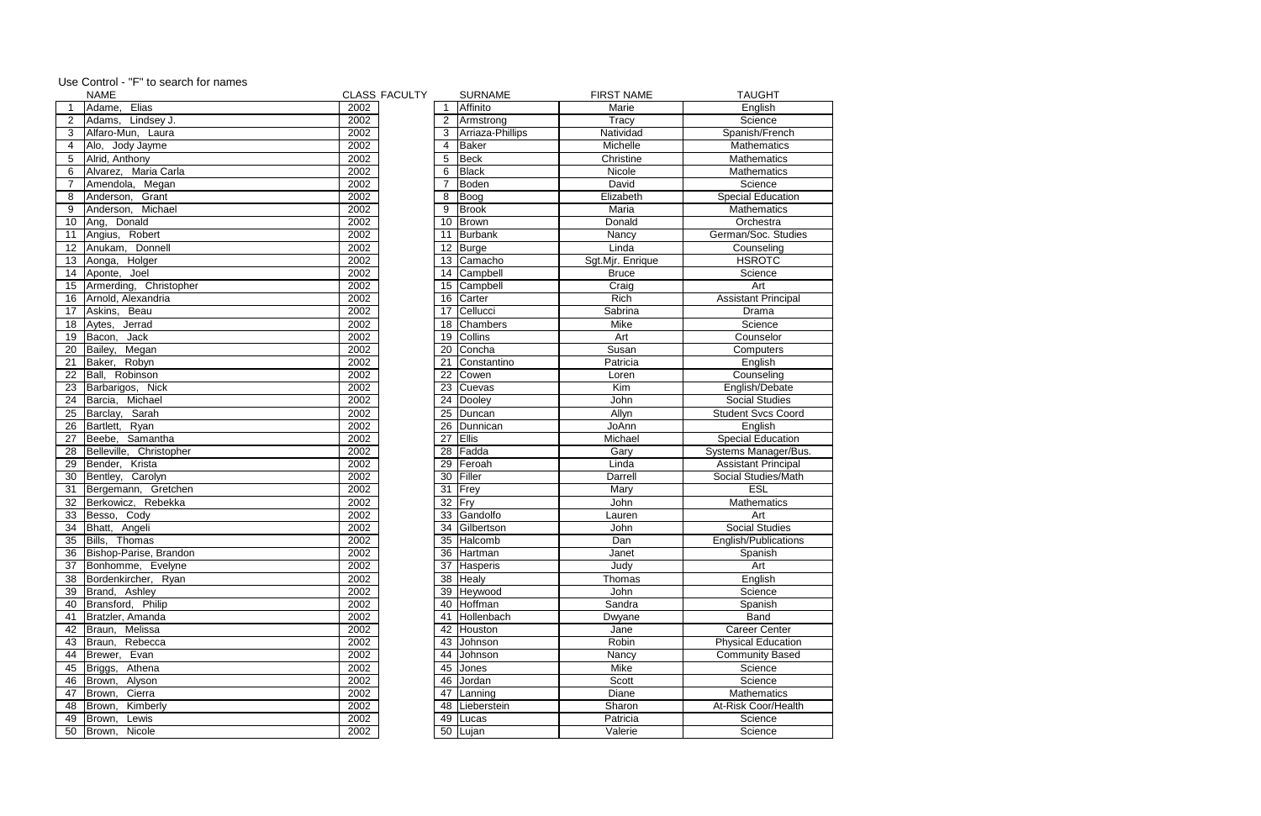|                 | <b>NAME</b>               |      | <b>CLASS FACULTY</b> |             | <b>SURNAME</b>     | <b>FIRST NAME</b> | <b>TAUGHT</b>              |
|-----------------|---------------------------|------|----------------------|-------------|--------------------|-------------------|----------------------------|
|                 | Elias<br>Adame,           | 2002 |                      | $\mathbf 1$ | Affinito           | Marie             | English                    |
| $\overline{2}$  | Adams, Lindsey J.         | 2002 |                      |             | 2 Armstrong        | <b>Tracy</b>      | Science                    |
| 3               | Alfaro-Mun, Laura         | 2002 |                      |             | 3 Arriaza-Phillips | Natividad         | Spanish/French             |
| 4               | Alo, Jody Jayme           | 2002 |                      | 4           | Baker              | Michelle          | Mathematics                |
| 5               | Alrid, Anthony            | 2002 |                      | 5           | Beck               | Christine         | Mathematics                |
| 6               | Alvarez, Maria Carla      | 2002 |                      | 6           | Black              | Nicole            | Mathematics                |
| $\overline{7}$  | Amendola, Megan           | 2002 |                      |             | Boden              | David             | Science                    |
| 8               | Grant<br>Anderson,        | 2002 |                      | 8           | Boog               | Elizabeth         | <b>Special Education</b>   |
| 9               | Anderson, Michael         | 2002 |                      | 9           | Brook              | Maria             | Mathematics                |
| 10              | Ang, Donald               | 2002 |                      | 10          | Brown              | Donald            | Orchestra                  |
| 11              | Angius, Robert            | 2002 |                      | 11          | <b>Burbank</b>     | Nancy             | German/Soc. Studies        |
| 12              | Donnell<br>Anukam,        | 2002 |                      | 12          | Burge              | Linda             | Counseling                 |
| 13              | Holger<br>Aonga,          | 2002 |                      |             | 13 Camacho         | Sgt.Mjr. Enrique  | <b>HSROTC</b>              |
| 14              | Aponte, Joel              | 2002 |                      |             | 14 Campbell        | <b>Bruce</b>      | Science                    |
|                 | 15 Armerding, Christopher | 2002 |                      |             | 15 Campbell        | Craig             | Art                        |
| 16              | Arnold, Alexandria        | 2002 |                      |             | 16 Carter          | Rich              | <b>Assistant Principal</b> |
| 17              | Askins, Beau              | 2002 |                      |             | 17 Cellucci        | Sabrina           | Drama                      |
| 18              | Aytes, Jerrad             | 2002 |                      |             | 18 Chambers        | Mike              | Science                    |
| 19              | Jack<br>Bacon,            | 2002 |                      | 19          | Collins            | Art               | Counselor                  |
| 20              | Bailey,<br>Megan          | 2002 |                      |             | 20 Concha          | Susan             | Computers                  |
| 21              | Baker, Robyn              | 2002 |                      | 21          | Constantino        | Patricia          | English                    |
| $\overline{22}$ | Ball, Robinson            | 2002 |                      | 22          | Cowen              | Loren             | Counseling                 |
| 23              | Barbarigos, Nick          | 2002 |                      | 23          | Cuevas             | Kim               | English/Debate             |
| 24              | Michael<br>Barcia,        | 2002 |                      |             | 24 Dooley          | John              | <b>Social Studies</b>      |
| 25              | Sarah<br>Barclay,         | 2002 |                      | 25          | Duncan             | Allyn             | <b>Student Svcs Coord</b>  |
| 26              | Bartlett, Ryan            | 2002 |                      | 26          | Dunnican           | JoAnn             | English                    |
| $\overline{27}$ | Samantha<br>Beebe,        | 2002 |                      | 27          | Ellis              | Michael           | <b>Special Education</b>   |
| 28              | Belleville, Christopher   | 2002 |                      | 28          | Fadda              | Gary              | Systems Manager/Bus.       |
| 29              | Bender, Krista            | 2002 |                      | 29          | Feroah             | Linda             | <b>Assistant Principal</b> |
| 30              | Bentley, Carolyn          | 2002 |                      |             | 30 Filler          | Darrell           | Social Studies/Math        |
| $\overline{31}$ | Bergemann, Gretchen       | 2002 |                      | 31          | <b>TFrey</b>       | Mary              | <b>ESL</b>                 |
| 32              | Berkowicz, Rebekka        | 2002 |                      | $32$ Fry    |                    | John              | Mathematics                |
| 33              | Besso, Cody               | 2002 |                      | 33          | Gandolfo           | Lauren            | Art                        |
| 34              | Bhatt, Angeli             | 2002 |                      |             | 34 Gilbertson      | John              | <b>Social Studies</b>      |
|                 | 35 Bills, Thomas          | 2002 |                      |             | 35 Halcomb         | Dan               | English/Publications       |
|                 | 36 Bishop-Parise, Brandon | 2002 |                      |             | 36 Hartman         | Janet             | Spanish                    |
| 37              | Bonhomme, Evelyne         | 2002 |                      |             | 37 Hasperis        | Judy              | Art                        |
|                 | 38 Bordenkircher, Ryan    | 2002 |                      |             | 38 Healy           | Thomas            | English                    |
| 39              | Brand, Ashley             | 2002 |                      |             | 39 Heywood         | John              | Science                    |
| 40              | Bransford, Philip         | 2002 |                      |             | 40 Hoffman         | Sandra            | Spanish                    |
| 41              | Bratzler, Amanda          | 2002 |                      | 41          | Hollenbach         | Dwyane            | <b>Band</b>                |
| 42              | Braun, Melissa            | 2002 |                      |             | 42 Houston         | Jane              | <b>Career Center</b>       |
| 43              | Braun, Rebecca            | 2002 |                      |             | 43 Johnson         | Robin             | <b>Physical Education</b>  |
| 44              | Brewer, Evan              | 2002 |                      |             | 44 Johnson         | Nancy             | <b>Community Based</b>     |
| 45              | Athena<br>Briggs,         | 2002 |                      |             | 45 Jones           | Mike              | Science                    |
| 46              | Alyson<br><b>Brown.</b>   | 2002 |                      |             | 46 Jordan          | Scott             | Science                    |
| 47              | Cierra<br>Brown,          | 2002 |                      |             | 47 Lanning         | Diane             | Mathematics                |
| 48              | Kimberly<br>Brown,        | 2002 |                      |             | 48   Lieberstein   | Sharon            | At-Risk Coor/Health        |
| 49              | Brown,<br>Lewis           | 2002 |                      |             | 49 Lucas           | Patricia          | Science                    |
|                 | 50 Brown,<br>Nicole       | 2002 |                      |             | 50   Lujan         | Valerie           | Science                    |

|  | Use Control - "F" to search for names |
|--|---------------------------------------|
|--|---------------------------------------|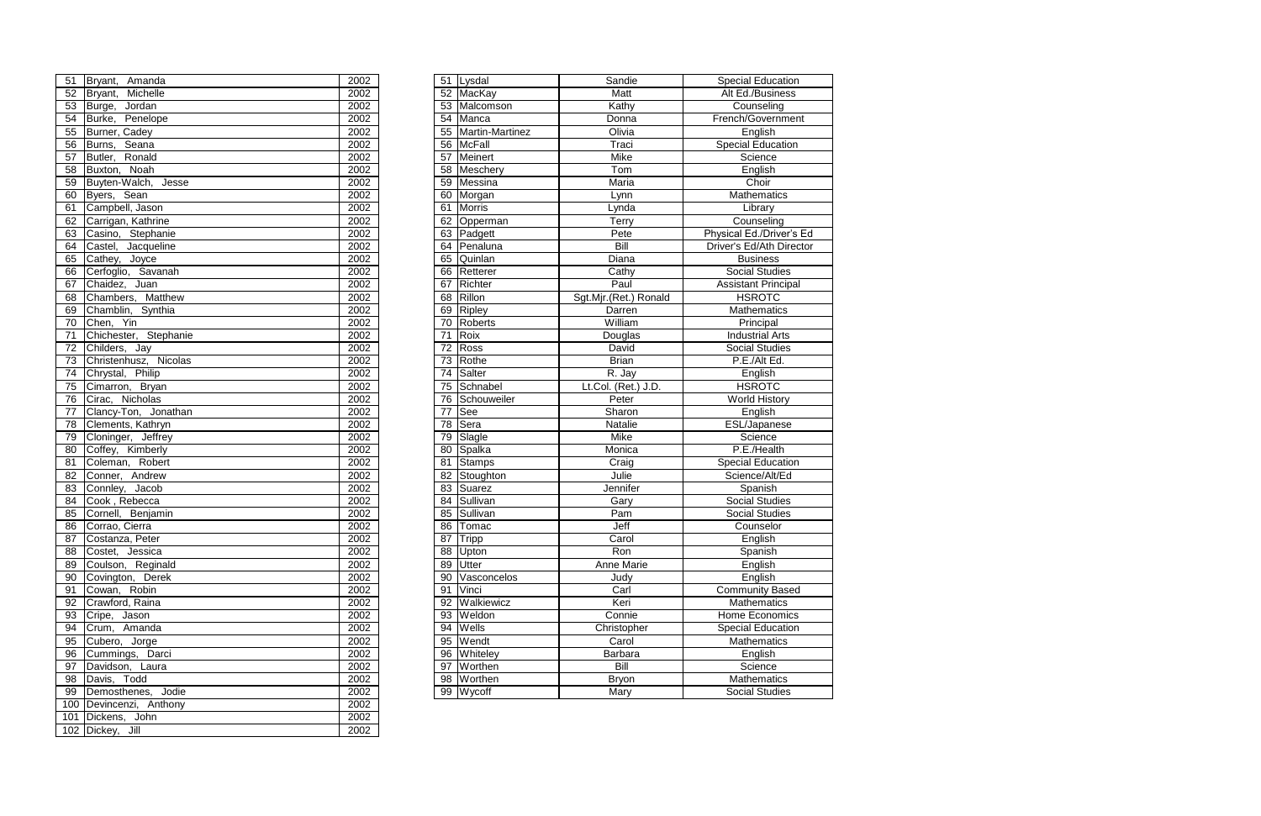|                        | 51 Bryant, Amanda     | 2002 |    | 51 Lysdal          | Sandie                | <b>Special Education</b>   |
|------------------------|-----------------------|------|----|--------------------|-----------------------|----------------------------|
| 52                     | Michelle<br>Bryant,   | 2002 |    | 52 MacKay          | Matt                  | Alt Ed./Business           |
| 53                     | Jordan<br>Burge,      | 2002 |    | 53 Malcomson       | Kathy                 | Counseling                 |
| 54                     | Burke, Penelope       | 2002 |    | 54 Manca           | Donna                 | French/Government          |
| $\overline{55}$        | Burner, Cadey         | 2002 |    | 55 Martin-Martinez | Olivia                | English                    |
| 56                     | Burns, Seana          | 2002 |    | 56 McFall          | Traci                 | <b>Special Education</b>   |
| 57                     | Butler, Ronald        | 2002 |    | 57 Meinert         | Mike                  | Science                    |
| 58                     | Buxton, Noah          | 2002 |    | 58 Meschery        | Tom                   | English                    |
| 59                     | Buyten-Walch, Jesse   | 2002 |    | 59 Messina         | Maria                 | Choir                      |
| 60                     | Byers, Sean           | 2002 |    | 60 Morgan          | Lynn                  | Mathematics                |
| 61                     | Campbell, Jason       | 2002 | 61 | Morris             | Lynda                 | Library                    |
| 62                     | Carrigan, Kathrine    | 2002 |    | 62 Opperman        | Terry                 | Counseling                 |
| 63                     | Casino, Stephanie     | 2002 |    | 63 Padgett         | Pete                  | Physical Ed./Driver's Ed   |
| 64                     | Castel, Jacqueline    | 2002 |    | 64 Penaluna        | Bill                  | Driver's Ed/Ath Director   |
| 65                     | Cathey, Joyce         | 2002 | 65 | Quinlan            | Diana                 | <b>Business</b>            |
| 66                     | Cerfoglio, Savanah    | 2002 |    | 66 Retterer        | Cathy                 | <b>Social Studies</b>      |
| 67                     | Chaidez, Juan         | 2002 |    | 67 Richter         | Paul                  | <b>Assistant Principal</b> |
| 68                     | Chambers, Matthew     | 2002 |    | 68 Rillon          | Sgt.Mjr.(Ret.) Ronald | <b>HSROTC</b>              |
| 69                     | Chamblin, Synthia     | 2002 |    | 69 Ripley          | Darren                | <b>Mathematics</b>         |
| 70                     | Chen, Yin             | 2002 |    | 70 Roberts         | William               | Principal                  |
| 71                     | Chichester, Stephanie | 2002 | 71 | Roix               | Douglas               | <b>Industrial Arts</b>     |
| 72                     | Childers, Jay         | 2002 | 72 | Ross               | David                 | Social Studies             |
| 73                     | Christenhusz, Nicolas | 2002 |    | 73 Rothe           | <b>Brian</b>          | P.E./Alt Ed.               |
| 74                     | Chrystal, Philip      | 2002 | 74 | Salter             | R. Jay                | English                    |
| 75                     | Cimarron, Bryan       | 2002 |    | 75 Schnabel        | Lt.Col. (Ret.) J.D.   | <b>HSROTC</b>              |
| 76                     | Cirac, Nicholas       | 2002 |    | 76 Schouweiler     | Peter                 | <b>World History</b>       |
| 77                     | Clancy-Ton, Jonathan  | 2002 | 77 | See                | Sharon                | English                    |
| 78                     | Clements, Kathryn     | 2002 | 78 | Sera               | Natalie               | ESL/Japanese               |
| 79                     | Cloninger, Jeffrey    | 2002 | 79 | Slagle             | <b>Mike</b>           | Science                    |
| 80                     | Coffey, Kimberly      | 2002 |    | 80 Spalka          | Monica                | P.E./Health                |
| 81                     | Coleman, Robert       | 2002 | 81 | Stamps             | Craig                 | <b>Special Education</b>   |
| 82                     | Conner, Andrew        | 2002 |    | 82 Stoughton       | Julie                 | Science/Alt/Ed             |
| $\overline{\text{83}}$ | Connley, Jacob        | 2002 |    | 83 Suarez          | Jennifer              | Spanish                    |
| 84                     | Cook, Rebecca         | 2002 |    | 84 Sullivan        | Gary                  | <b>Social Studies</b>      |
| $\overline{\text{85}}$ | Cornell, Benjamin     | 2002 |    | 85 Sullivan        | Pam                   | <b>Social Studies</b>      |
|                        | 86 Corrao, Cierra     | 2002 |    | 86 Tomac           | Jeff                  | Counselor                  |
|                        | 87 Costanza, Peter    | 2002 |    | 87 Tripp           | Carol                 | English                    |
| 88                     | Costet, Jessica       | 2002 |    | 88 Upton           | Ron                   | Spanish                    |
| 89                     | Coulson, Reginald     | 2002 |    | 89 Utter           | Anne Marie            | English                    |
| 90                     | Covington, Derek      | 2002 |    | 90 Vasconcelos     | Judy                  | English                    |
| 91                     | Cowan, Robin          | 2002 |    | 91 Vinci           | Carl                  | <b>Community Based</b>     |
| 92                     | Crawford, Raina       | 2002 |    | 92 Walkiewicz      | Keri                  | <b>Mathematics</b>         |
| 93                     | Cripe, Jason          | 2002 |    | 93 Weldon          | Connie                | Home Economics             |
| 94                     | Crum, Amanda          | 2002 |    | 94 Wells           | Christopher           | <b>Special Education</b>   |
| 95                     | Cubero, Jorge         | 2002 |    | 95 Wendt           | Carol                 | <b>Mathematics</b>         |
| 96                     | Cummings, Darci       | 2002 |    | 96 Whiteley        | Barbara               | English                    |
| 97                     | Davidson, Laura       | 2002 |    | 97 Worthen         | Bill                  | Science                    |
| 98                     | Davis, Todd           | 2002 |    | 98 Worthen         | <b>Bryon</b>          | Mathematics                |
| 99                     | Demosthenes, Jodie    | 2002 |    | 99 Wycoff          | Mary                  | <b>Social Studies</b>      |
|                        |                       |      |    |                    |                       |                            |

| 51              | Bryant, Amanda                         | 2002              |
|-----------------|----------------------------------------|-------------------|
| 52              | Bryant, Michelle                       | 2002              |
| 53              | Burge, Jordan                          | 2002              |
| 54              | Burke, Penelope                        | 2002              |
| 55              | Burner, Cadey                          | 2002              |
| $\overline{56}$ | Burns, Seana                           | 2002              |
| 57              | Butler, Ronald                         | $\overline{2002}$ |
| 58              | Buxton, Noah                           | 2002              |
| $\overline{59}$ | Buyten-Walch, Jesse                    | 2002              |
| 60              | Byers, Sean                            | 2002              |
| 61              | Campbell, Jason                        | 2002              |
| 62              | Carrigan, Kathrine                     | 2002              |
| 63              | Casino, Stephanie                      | 2002              |
| 64              | Castel, Jacqueline                     | 2002              |
| 65              | Cathey, Joyce                          | 2002              |
| 66              | Cerfoglio, Savanah                     | 2002              |
| 67              | Chaidez, Juan                          | 2002              |
| 68              | Chambers, Matthew                      | 2002              |
| 69              | Chamblin, Synthia                      | 2002              |
| 70              |                                        | 2002              |
| 71              | Chen, Yin<br>Chichester, Stephanie     | 2002              |
| $\overline{72}$ |                                        | 2002              |
| 73              | Childers, Jay<br>Christenhusz, Nicolas | 2002              |
| 74              | Chrystal, Philip                       | 2002              |
| 75              | Cimarron, Bryan                        | 2002              |
| 76              | Cirac, Nicholas                        | 2002              |
| 77              | Clancy-Ton, Jonathan                   | 2002              |
| 78              | Clements, Kathryn                      | 2002              |
| 79              | Cloninger, Jeffrey                     | 2002              |
| 80              | Coffey, Kimberly                       | 2002              |
| 81              | Coleman, Robert                        | 2002              |
| 82              | Conner, Andrew                         | 2002              |
| 83              | Connley, Jacob                         | 2002              |
| 84              | Cook, Rebecca                          | 2002              |
| 85              | Cornell, Benjamin                      | 2002              |
| 86              | Corrao, Cierra                         | $\overline{2002}$ |
|                 | 87 Costanza, Peter                     | 2002              |
| 88              | Costet, Jessica                        | 2002              |
| 89              | Coulson, Reginald                      | 2002              |
| 90              | Covington, Derek                       | 2002              |
| 91              | Cowan, Robin                           | 2002              |
| 92              | Crawford, Raina                        | 2002              |
| 93              | Cripe, Jason                           | 2002              |
| 94              | Crum, Amanda                           | 2002              |
| 95              | Cubero, Jorge                          | 2002              |
| 96              | Cummings, Darci                        | 2002              |
| 97              | Davidson, Laura                        | 2002              |
| 98              | Davis, Todd                            | 2002              |
| 99              | Demosthenes, Jodie                     | 2002              |
| 100             | Devincenzi, Anthony                    | 2002              |
| 101             | Dickens, John                          | 2002              |
| 102             | Dickey, Jill                           | 2002              |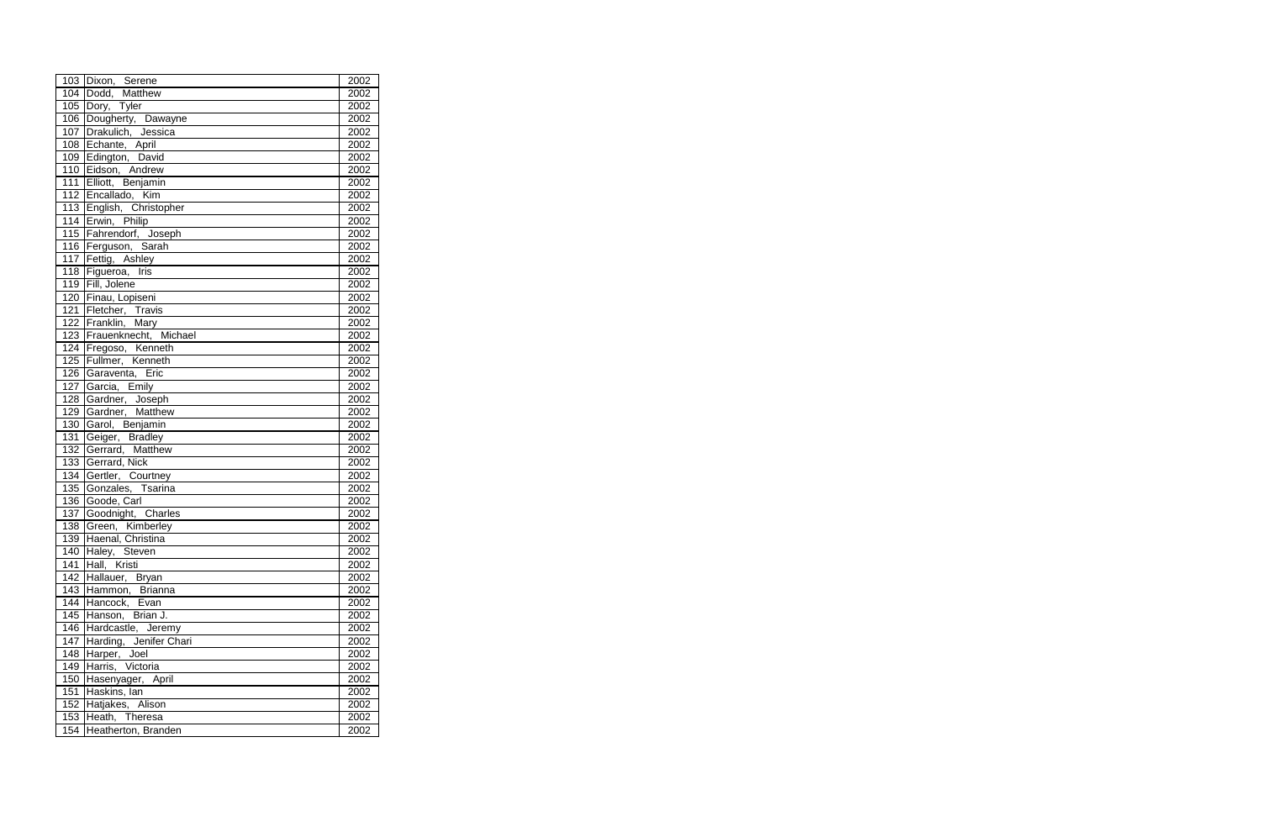|                  | 103 Dixon, Serene                      | 2002             |
|------------------|----------------------------------------|------------------|
|                  | 104 Dodd, Matthew                      | 2002             |
|                  | 105 Dory, Tyler                        | 2002             |
|                  | 106 Dougherty, Dawayne                 | 2002             |
|                  | 107 Drakulich, Jessica                 | 2002             |
|                  | 108 Echante, April                     | 2002             |
|                  | 109 Edington, David                    | 2002             |
|                  | 110 Eidson, Andrew                     | 2002             |
|                  | 111 Elliott, Benjamin                  | 2002             |
|                  | 112 Encallado, Kim                     | 2002             |
|                  | 113 English, Christopher               | 2002             |
|                  | 114 Erwin, Philip                      | 2002             |
|                  | 115 Fahrendorf, Joseph                 | 2002             |
|                  | 116 Ferguson, Sarah                    | 2002             |
|                  | 117 Fettig, Ashley                     | 2002             |
|                  | 118 Figueroa, Iris                     | 2002             |
|                  | 119 Fill, Jolene                       | 2002             |
|                  | 120 Finau, Lopiseni                    | 2002             |
| 121              | Fletcher, Travis                       | 2002             |
|                  | 122 Franklin, Mary                     | 2002             |
|                  | 123 Frauenknecht, Michael              | 2002             |
|                  | 124 Fregoso, Kenneth                   | 2002             |
|                  | 125 Fullmer, Kenneth                   | 2002             |
|                  | 126 Garaventa, Eric                    | 2002             |
| 127              | Garcia, Emily                          | 2002             |
|                  | 128 Gardner, Joseph                    | 2002             |
|                  | 129 Gardner, Matthew                   | 2002             |
|                  | 130 Garol, Benjamin                    | 2002             |
| 131              | Geiger, Bradley                        | 2002             |
| 132              | Gerrard, Matthew                       | 2002             |
| 133              | Gerrard, Nick                          | 2002             |
| 134              | Gertler, Courtney<br>Gonzales, Tsarina | 2002             |
| 135              |                                        | 2002             |
| 136              | Goode, Carl                            | 2002             |
| $\overline{137}$ | Goodnight, Charles                     | 2002             |
| 138              | Green, Kimberley                       | 2002             |
|                  | 139 Haenal, Christina                  | $\frac{1}{2002}$ |
|                  | 140 Haley, Steven                      | 2002             |
| 141              | Hall, Kristi                           | 2002             |
|                  | 142 Hallauer, Bryan                    | 2002             |
|                  | 143 Hammon, Brianna                    | 2002             |
|                  | 144 Hancock, Evan                      | 2002             |
|                  | 145 Hanson, Brian J.                   | 2002             |
|                  | 146 Hardcastle, Jeremy                 | 2002             |
| 147              | Harding, Jenifer Chari                 | 2002             |
| 148              | Harper, Joel                           | 2002             |
| 149              | Harris, Victoria                       | 2002             |
| 150              | Hasenyager, April                      | 2002             |
| 151              | Haskins, lan                           | 2002             |
| 152              | Hatjakes, Alison                       | 2002             |
| 153              | Heath, Theresa                         | 2002             |
| 154              | Heatherton, Branden                    | 2002             |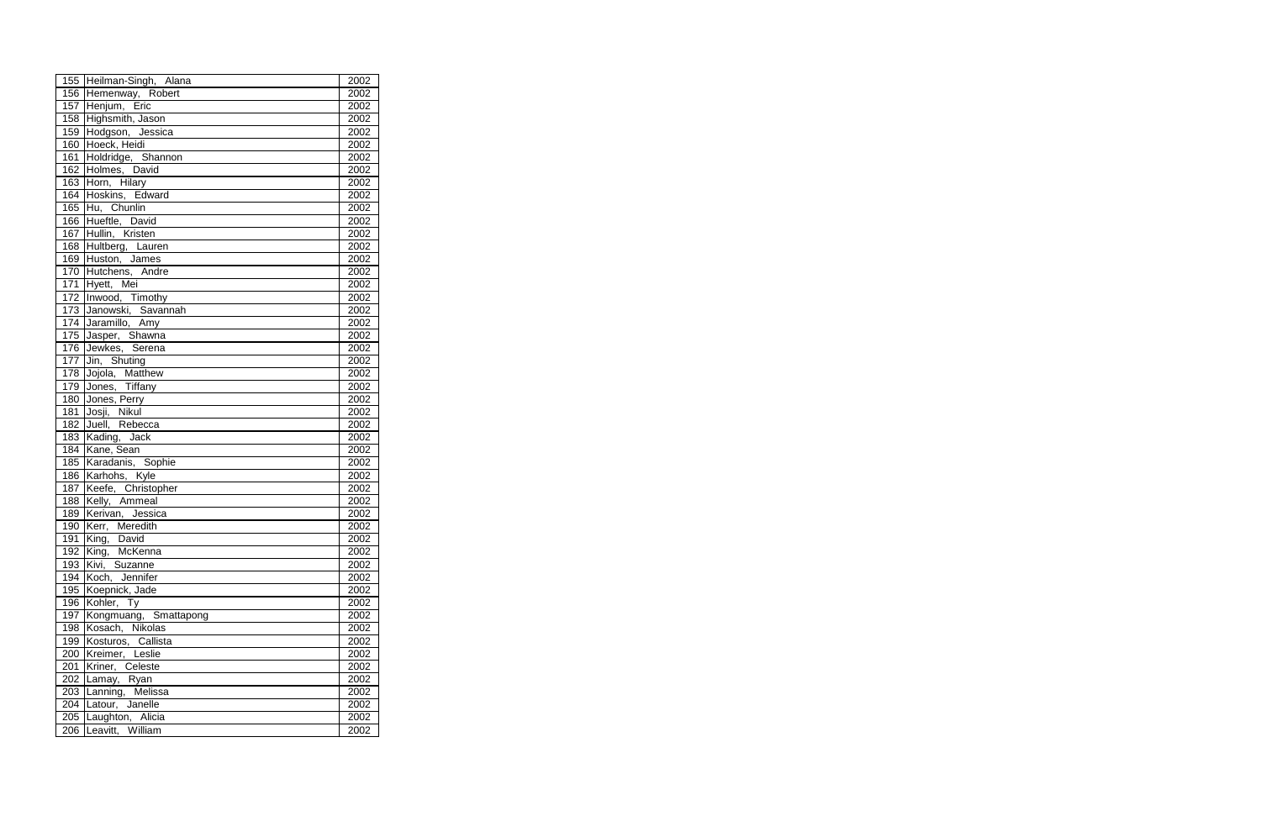|     | 155 Heilman-Singh, Alana | 2002             |
|-----|--------------------------|------------------|
|     | 156 Hemenway, Robert     | 2002             |
|     | 157 Henjum, Eric         | 2002             |
|     | 158 Highsmith, Jason     | 2002             |
|     | 159 Hodgson, Jessica     | 2002             |
|     | 160 Hoeck, Heidi         | 2002             |
|     | 161 Holdridge, Shannon   | 2002             |
|     | 162 Holmes, David        | 2002             |
|     | 163 Horn, Hilary         | 2002             |
|     | 164 Hoskins, Edward      | 2002             |
|     | 165 Hu, Chunlin          | 2002             |
|     | 166 Hueftle, David       | 2002             |
|     | 167 Hullin, Kristen      | 2002             |
|     | 168 Hultberg, Lauren     | 2002             |
|     | 169 Huston, James        | 2002             |
|     | 170 Hutchens, Andre      | 2002             |
| 171 | Hyett, Mei               | 2002             |
|     | 172 Inwood, Timothy      | 2002             |
| 173 | Janowski, Savannah       | 2002             |
|     | 174 Jaramillo, Amy       | 2002             |
|     | 175 Jasper, Shawna       | 2002             |
|     | 176 Jewkes, Serena       | 2002             |
| 177 | Jin, Shuting             | 2002             |
|     | 178 Jojola, Matthew      | 2002             |
| 179 | Jones, Tiffany           | 2002             |
|     | 180 Jones, Perry         | 2002             |
| 181 | Josji, Nikul             | 2002             |
| 182 | Juell, Rebecca           | 2002             |
|     | 183 Kading, Jack         | 2002             |
|     | 184 Kane, Sean           | 2002             |
|     | 185 Karadanis, Sophie    | 2002             |
|     | 186 Karhohs, Kyle        | 2002             |
|     | 187 Keefe, Christopher   | 2002             |
|     | 188 Kelly, Ammeal        | 2002             |
| 189 | Kerivan, Jessica         | 2002             |
| 190 | Kerr, Meredith           | 2002             |
|     | 191 King, David          | $\frac{1}{2002}$ |
|     | 192 King, McKenna        | 2002             |
| 193 | Kivi, Suzanne            | 2002             |
| 194 | Koch, Jennifer           | 2002             |
| 195 | Koepnick, Jade           | 2002             |
|     | 196 Kohler, Ty           | 2002             |
| 197 | Kongmuang, Smattapong    | 2002             |
| 198 | Kosach, Nikolas          | 2002             |
|     | 199 Kosturos, Callista   | 2002             |
| 200 | Kreimer, Leslie          | 2002             |
| 201 | Kriner, Celeste          | 2002             |
|     | 202 Lamay, Ryan          | 2002             |
|     | 203 Lanning, Melissa     | 2002             |
| 204 | Latour, Janelle          | 2002             |
| 205 | Laughton, Alicia         | 2002             |
| 206 | Leavitt, William         | 2002             |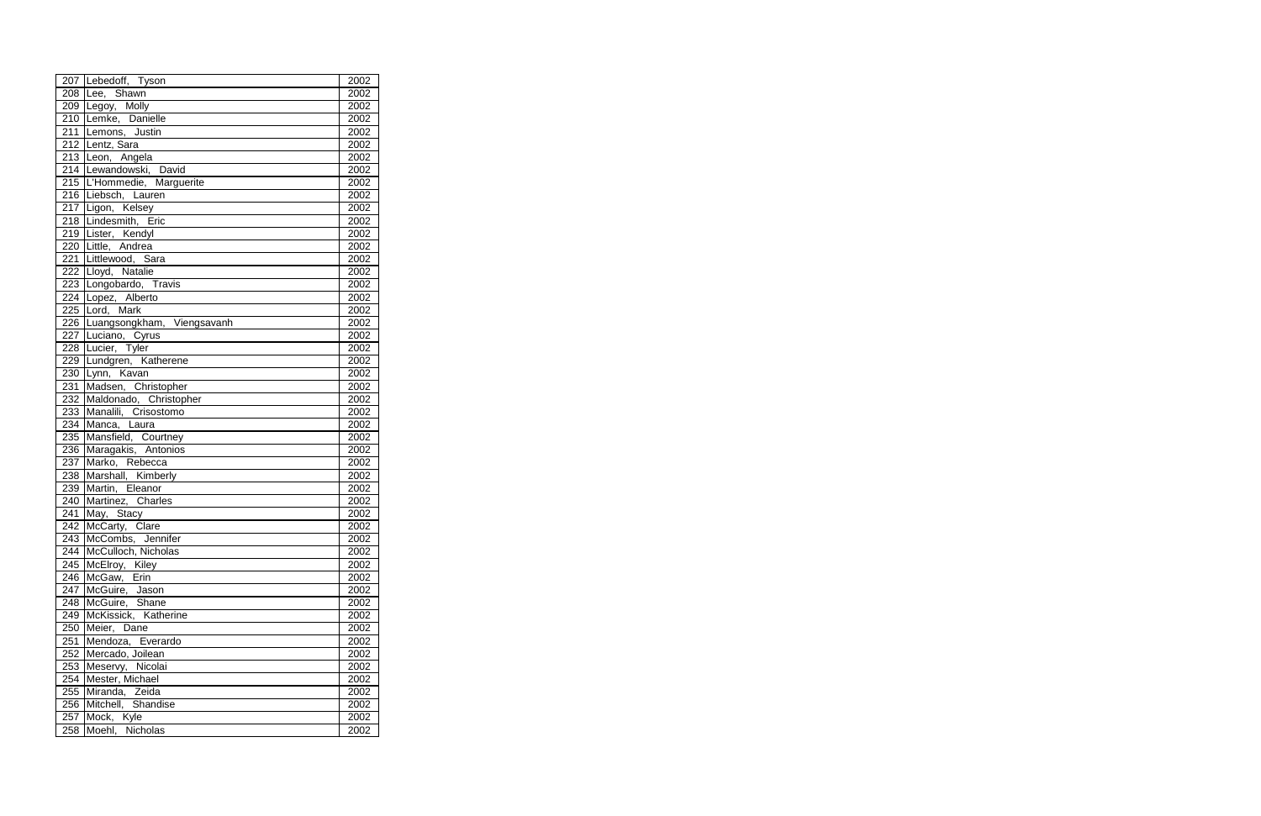|     | 207 Lebedoff, Tyson                      | 2002 |
|-----|------------------------------------------|------|
|     | 208 Lee, Shawn                           | 2002 |
|     | 209 Legoy, Molly                         | 2002 |
|     | 210 Lemke, Danielle                      | 2002 |
|     | 211 Lemons, Justin                       | 2002 |
|     | 212 Lentz, Sara                          | 2002 |
|     | 213 Leon, Angela                         | 2002 |
|     | 214 Lewandowski, David                   | 2002 |
|     | 215 L'Hommedie, Marguerite               | 2002 |
|     | 216 Liebsch, Lauren                      | 2002 |
|     | 217 Ligon, Kelsey                        | 2002 |
|     | 218 Lindesmith, Eric                     | 2002 |
|     |                                          | 2002 |
|     | 219 Lister, Kendyl<br>220 Little, Andrea | 2002 |
|     | 221 Littlewood, Sara                     | 2002 |
|     | 222 Lloyd, Natalie                       | 2002 |
|     | 223 Longobardo, Travis                   | 2002 |
|     | 224 Lopez, Alberto                       | 2002 |
|     | 225 Lord, Mark                           | 2002 |
|     | 226 Luangsongkham, Viengsavanh           | 2002 |
|     | 227 Luciano, Cyrus                       | 2002 |
|     | 228 Lucier, Tyler                        | 2002 |
|     | 229 Lundgren, Katherene                  | 2002 |
| 230 | Lynn, Kavan                              | 2002 |
| 231 | Madsen, Christopher                      | 2002 |
| 232 | Maldonado, Christopher                   | 2002 |
| 233 | Manalili, Crisostomo                     | 2002 |
| 234 | Manca, Laura                             | 2002 |
| 235 | Mansfield, Courtney                      | 2002 |
| 236 | Maragakis, Antonios                      | 2002 |
| 237 | Marko, Rebecca                           | 2002 |
| 238 | Marshall, Kimberly                       | 2002 |
| 239 | Martin, Eleanor                          | 2002 |
| 240 | Martinez, Charles                        | 2002 |
| 241 | May, Stacy                               | 2002 |
|     | 242 McCarty, Clare                       | 2002 |
|     | 243 McCombs, Jennifer                    | 2002 |
|     | 244   McCulloch, Nicholas                | 2002 |
|     | 245   McElroy, Kiley                     | 2002 |
|     | 246 McGaw, Erin                          | 2002 |
| 247 | McGuire, Jason                           | 2002 |
| 248 | McGuire, Shane                           | 2002 |
| 249 | McKissick, Katherine                     | 2002 |
| 250 | Meier, Dane                              | 2002 |
| 251 | Mendoza, Everardo                        | 2002 |
| 252 | Mercado, Joilean                         | 2002 |
| 253 | Meservy, Nicolai                         | 2002 |
| 254 | Mester, Michael                          | 2002 |
| 255 | Miranda, Zeida                           | 2002 |
| 256 | Mitchell, Shandise                       | 2002 |
| 257 | Mock, Kyle                               | 2002 |
| 258 | Moehl, Nicholas                          | 2002 |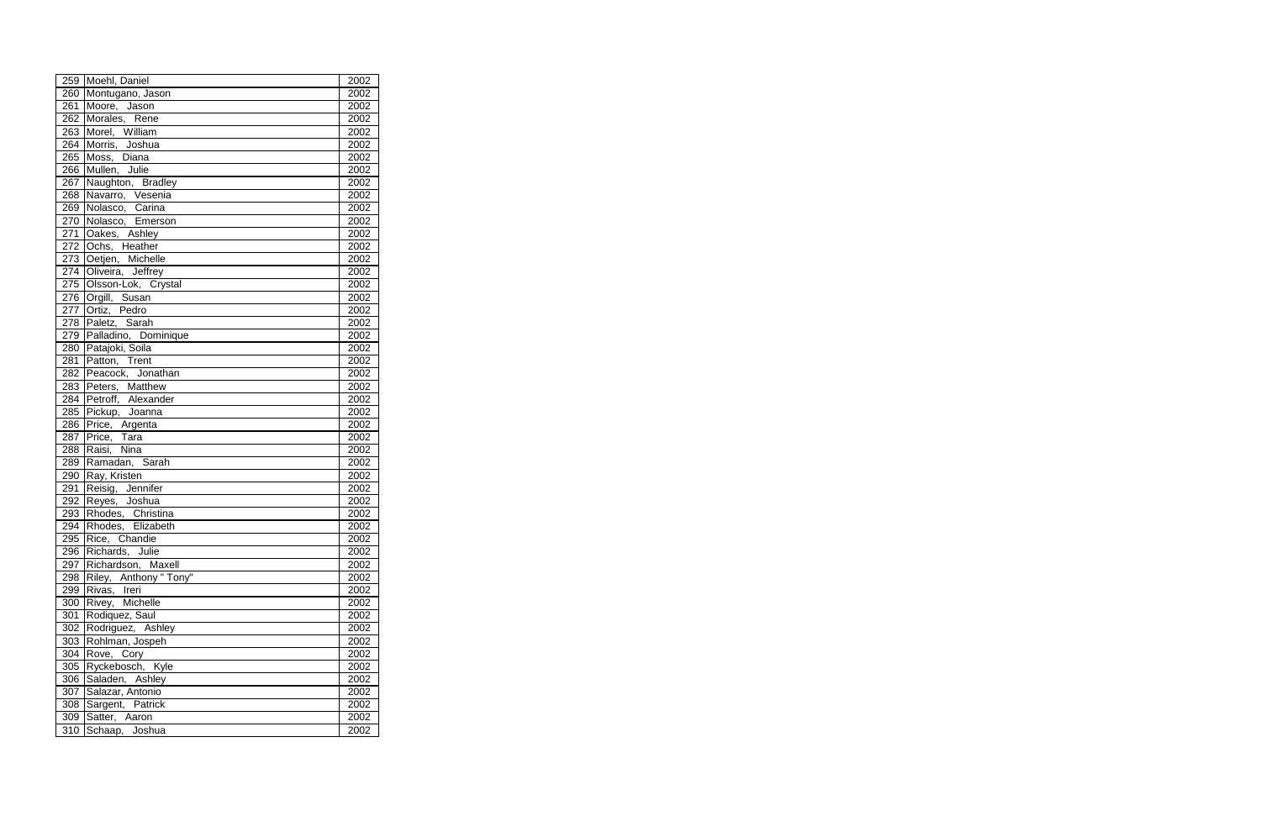|                  | 259 Moehl, Daniel                                          | 2002 |
|------------------|------------------------------------------------------------|------|
| 260              | Montugano, Jason                                           | 2002 |
| 261              | Moore, Jason                                               | 2002 |
| 262              | Morales, Rene                                              | 2002 |
| $\overline{263}$ | Morel, William                                             | 2002 |
| 264              | Morris, Joshua                                             | 2002 |
| 265              | Moss, Diana                                                | 2002 |
| 266              | Mullen, Julie                                              | 2002 |
| 267              | Naughton, Bradley                                          | 2002 |
| 268              | Navarro, Vesenia                                           | 2002 |
| 269              | Nolasco, Carina                                            | 2002 |
| $\overline{270}$ | Nolasco, Emerson                                           | 2002 |
| 271              | Oakes, Ashley                                              | 2002 |
| $\overline{272}$ | Ochs, Heather                                              | 2002 |
|                  | 212 Sone,<br>273 Oetjen, Michelle<br>274 Oliveira, Jeffrey | 2002 |
|                  |                                                            | 2002 |
|                  | 275 Olsson-Lok, Crystal                                    | 2002 |
|                  | 276 Orgill, Susan                                          | 2002 |
| 277              | Ortiz, Pedro                                               | 2002 |
|                  | 278 Paletz, Sarah                                          | 2002 |
| 279              | Palladino, Dominique                                       | 2002 |
| 280              | Patajoki, Soila                                            | 2002 |
| 281              | Patton, Trent                                              | 2002 |
|                  | 282 Peacock, Jonathan                                      | 2002 |
|                  | 283 Peters, Matthew                                        | 2002 |
|                  | 284 Petroff, Alexander                                     | 2002 |
| 285              | Pickup, Joanna                                             | 2002 |
| 286              | Price, Argenta                                             | 2002 |
| 287              | Price, Tara                                                | 2002 |
| 288              | Raisi, Nina                                                | 2002 |
| 289              | Ramadan, Sarah                                             | 2002 |
| 290              | Ray, Kristen                                               | 2002 |
| 291              | Reisig, Jennifer                                           | 2002 |
| 292              | Reyes, Joshua                                              | 2002 |
| 293              | Rhodes, Christina                                          | 2002 |
|                  | 294 Rhodes, Elizabeth                                      | 2002 |
| 295              | Rice, Chandie                                              | 2002 |
|                  | 296 Richards, Julie                                        | 2002 |
|                  | 297 Richardson, Maxell                                     | 2002 |
|                  | 298 Riley, Anthony "Tony"                                  | 2002 |
| 299              | Rivas, Ireri                                               | 2002 |
| 300              | Rivey, Michelle                                            | 2002 |
| 301              | Rodiquez, Saul                                             | 2002 |
| 302              | Rodriguez, Ashley                                          | 2002 |
| 303              | Rohlman, Jospeh                                            | 2002 |
| 304              | Rove, Cory                                                 | 2002 |
| 305              | Ryckebosch, Kyle                                           | 2002 |
| 306              | Saladen, Ashley                                            | 2002 |
| 307              | Salazar, Antonio                                           | 2002 |
| 308              | Sargent, Patrick                                           | 2002 |
| 309              | Satter, Aaron                                              | 2002 |
| 310              | Schaap, Joshua                                             | 2002 |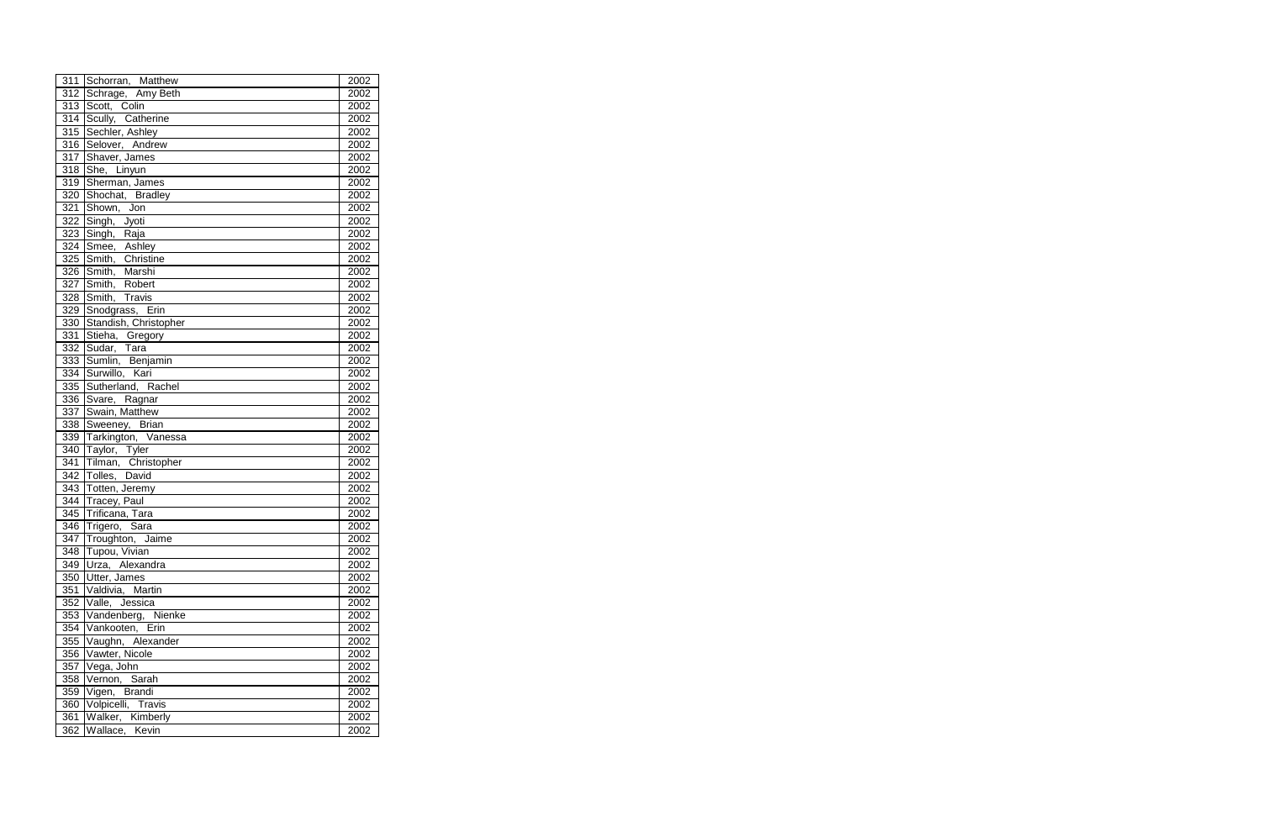|                  | 311 Schorran, Matthew                | 2002 |
|------------------|--------------------------------------|------|
| 312              | Schrage, Amy Beth                    | 2002 |
| 313              | Scott, Colin                         | 2002 |
| 314              | Scully, Catherine                    | 2002 |
| $\overline{315}$ | Sechler, Ashley                      | 2002 |
| $\overline{316}$ | Selover, Andrew                      | 2002 |
| $\overline{317}$ | Shaver, James                        | 2002 |
| 318              | She, Linyun                          | 2002 |
| 319              | Sherman, James                       | 2002 |
| 320              | Shochat, Bradley                     | 2002 |
| 321              | Shown, Jon                           | 2002 |
| 322              | Singh, Jyoti                         | 2002 |
| 323              | Singh, Raja                          | 2002 |
| 324              | Smee, Ashley                         | 2002 |
| 325              | Smith, Christine                     | 2002 |
| 326              | Smith, Marshi                        | 2002 |
| 327              | Smith, Robert                        | 2002 |
| 328              | Smith, Travis                        | 2002 |
| 329              | Snodgrass, Erin                      | 2002 |
| 330              | Standish, Christopher                | 2002 |
| 331              | Stieha, Gregory                      | 2002 |
| 332              | Sudar, Tara                          | 2002 |
| 333              | Sumlin, Benjamin                     | 2002 |
| $\frac{1}{334}$  | Surwillo, Kari<br>I                  | 2002 |
| 335              | Sutherland, Rachel                   | 2002 |
| 336              | Svare, Ragnar                        | 2002 |
| 337              | Swain, Matthew                       | 2002 |
| 338              | Sweeney, Brian                       | 2002 |
| 339              | Tarkington, Vanessa                  | 2002 |
| 340              | Taylor, Tyler                        | 2002 |
| 341              | Tilman, Christopher<br>Tolles, David | 2002 |
| 342              |                                      | 2002 |
| $\overline{343}$ | Totten, Jeremy                       | 2002 |
|                  | 344 Tracey, Paul                     | 2002 |
| 345              | Trificana, Tara                      | 2002 |
| $\overline{346}$ | Trigero, Sara                        | 2002 |
|                  | 347 Troughton, Jaime                 | 2002 |
|                  | 348   Tupou, Vivian                  | 2002 |
| 349              | Urza, Alexandra                      | 2002 |
|                  | 350 Utter, James                     | 2002 |
| 351              | Valdivia, Martin                     | 2002 |
| 352              | Valle, Jessica                       | 2002 |
|                  | 353 Vandenberg, Nienke               | 2002 |
| 354              | Vankooten, Erin                      | 2002 |
| 355              | Vaughn, Alexander                    | 2002 |
| 356              | Vawter, Nicole                       | 2002 |
| 357              | Vega, John                           | 2002 |
| 358              | Vernon, Sarah                        | 2002 |
| 359              | Vigen, Brandi                        | 2002 |
| 360              | Volpicelli, Travis                   | 2002 |
| 361              | Walker, Kimberly                     | 2002 |
| 362              | Wallace, Kevin                       | 2002 |